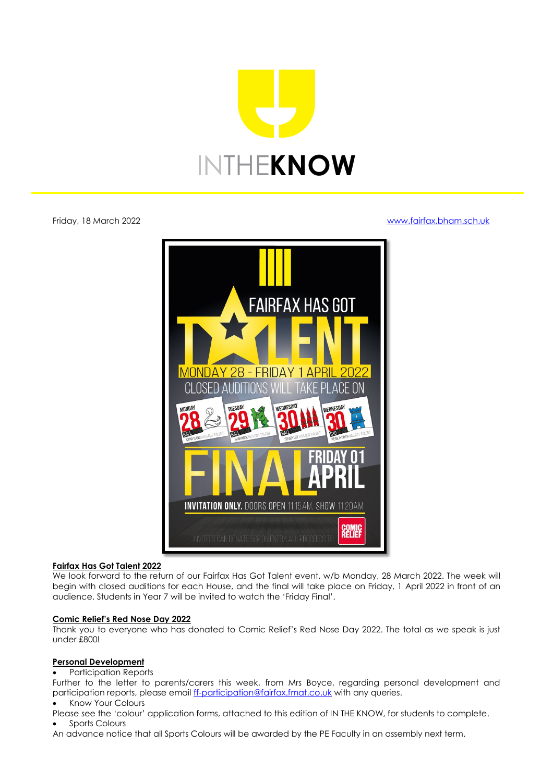

# Friday, 18 March 2022 [www.fairfax.bham.sch.uk](http://www.fairfax.bham.sch.uk/)



# **Fairfax Has Got Talent 2022**

We look forward to the return of our Fairfax Has Got Talent event, w/b Monday, 28 March 2022. The week will begin with closed auditions for each House, and the final will take place on Friday, 1 April 2022 in front of an audience. Students in Year 7 will be invited to watch the 'Friday Final'.

# **Comic Relief's Red Nose Day 2022**

Thank you to everyone who has donated to Comic Relief's Red Nose Day 2022. The total as we speak is just under £800!

# **Personal Development**

# • Participation Reports

Further to the letter to parents/carers this week, from Mrs Boyce, regarding personal development and participation reports, please email [ff-participation@fairfax.fmat.co.uk](mailto:ff-participation@fairfax.fmat.co.uk) with any queries.

• Know Your Colours

Please see the 'colour' application forms, attached to this edition of IN THE KNOW, for students to complete.

• Sports Colours

An advance notice that all Sports Colours will be awarded by the PE Faculty in an assembly next term.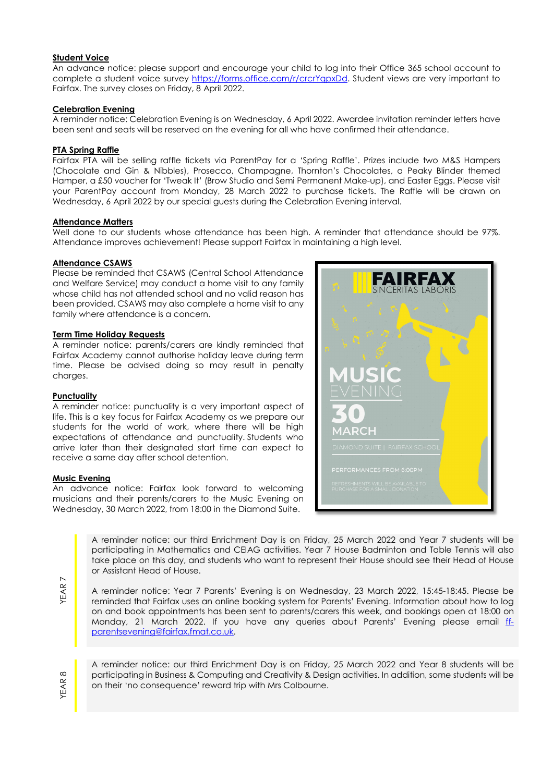# **Student Voice**

An advance notice: please support and encourage your child to log into their Office 365 school account to complete a student voice survey [https://forms.office.com/r/crcrYqpxDd.](https://forms.office.com/r/crcrYqpxDd) Student views are very important to Fairfax. The survey closes on Friday, 8 April 2022.

# **Celebration Evening**

A reminder notice: Celebration Evening is on Wednesday, 6 April 2022. Awardee invitation reminder letters have been sent and seats will be reserved on the evening for all who have confirmed their attendance.

### **PTA Spring Raffle**

Fairfax PTA will be selling raffle tickets via ParentPay for a 'Spring Raffle'. Prizes include two M&S Hampers (Chocolate and Gin & Nibbles), Prosecco, Champagne, Thornton's Chocolates, a Peaky Blinder themed Hamper, a £50 voucher for 'Tweak It' (Brow Studio and Semi Permanent Make-up), and Easter Eggs. Please visit your ParentPay account from Monday, 28 March 2022 to purchase tickets. The Raffle will be drawn on Wednesday, 6 April 2022 by our special guests during the Celebration Evening interval.

#### **Attendance Matters**

Well done to our students whose attendance has been high. A reminder that attendance should be 97%. Attendance improves achievement! Please support Fairfax in maintaining a high level.

#### **Attendance CSAWS**

Please be reminded that CSAWS (Central School Attendance and Welfare Service) may conduct a home visit to any family whose child has not attended school and no valid reason has been provided. CSAWS may also complete a home visit to any family where attendance is a concern.

#### **Term Time Holiday Requests**

A reminder notice: parents/carers are kindly reminded that Fairfax Academy cannot authorise holiday leave during term time. Please be advised doing so may result in penalty charges.

# **Punctuality**

A reminder notice: punctuality is a very important aspect of life. This is a key focus for Fairfax Academy as we prepare our students for the world of work, where there will be high expectations of attendance and punctuality. Students who arrive later than their designated start time can expect to receive a same day after school detention.

#### **Music Evening**

An advance notice: Fairfax look forward to welcoming musicians and their parents/carers to the Music Evening on Wednesday, 30 March 2022, from 18:00 in the Diamond Suite.



A reminder notice: our third Enrichment Day is on Friday, 25 March 2022 and Year 7 students will be participating in Mathematics and CEIAG activities. Year 7 House Badminton and Table Tennis will also take place on this day, and students who want to represent their House should see their Head of House or Assistant Head of House.

A reminder notice: Year 7 Parents' Evening is on Wednesday, 23 March 2022, 15:45-18:45. Please be reminded that Fairfax uses an online booking system for Parents' Evening. Information about how to log on and book appointments has been sent to parents/carers this week, and bookings open at 18:00 on Monday, 21 March 2022. If you have any queries about Parents' Evening please email [ff](mailto:ff-parentsevening@fairfax.fmat.co.uk)[parentsevening@fairfax.fmat.co.uk.](mailto:ff-parentsevening@fairfax.fmat.co.uk)

YEAR 8

A reminder notice: our third Enrichment Day is on Friday, 25 March 2022 and Year 8 students will be participating in Business & Computing and Creativity & Design activities. In addition, some students will be on their 'no consequence' reward trip with Mrs Colbourne.